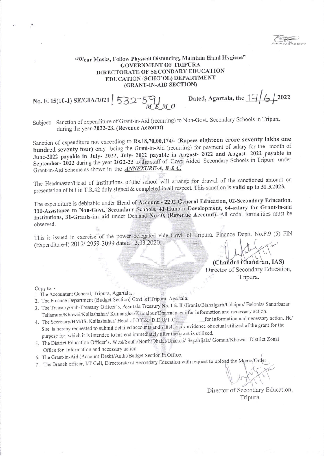## "Wear Masks, Follow Physical Distancing, Maintain Hand Hygiene" **GOVERNMENT OF TRIPURA** DIRECTORATE OF SECONDARY EDUCATION EDUCATION (SCHO'OL) DEPARTMENT (GRANT-IN-AID SECTION)

No. F. 15(10-1) SE/GIA/2021 532-54

Dated, Agartala, the  $17/6$  /2022

Subject: - Sanction of expenditure of Grant-in-Aid (recurring) to Non-Govt. Secondary Schools in Tripura during the year-2022-23. (Revenue Account)

Sanction of expenditure not exceeding to Rs.18,70,00,174/- (Rupees eighteen crore seventy lakhs one hundred seventy four) only being the Grant-in-Aid (recurring) for payment of salary for the month of June-2022 payable in July- 2022, July- 2022 payable in August- 2022 and August- 2022 payable in September-2022 during the year 2022-23 to the staff of Govt. Aided Secondary Schools in Tripura under Grant-in-Aid Scheme as shown in the **ANNEXURE-A, B & C.** 

The Headmaster/Head of Institutions of the school will arrange for drawal of the sanctioned amount on presentation of bill in T.R.42 duly signed & completed in all respect. This sanction is valid up to 31.3.2023.

The expenditure is debitable under Head of Account:- 2202-General Education, 02-Secondary Education, 110-Assistance to Non-Govt. Secondary Schools, 41-Human Development, 64-salary for Grant-in-aid Institutions, 31-Grants-in- aid under Demand No.40, (Revenue Account). All codal formalities must be observed.

This is issued in exercise of the power delegated vide Govt. of Tripura, Finance Deptt. No.F.9 (5) FIN (Expenditure-I) 2019/2959-3099 dated 12.03.2020.

> (Chandni Chandran, IAS) Director of Secondary Education, Tripura.

Copy to :-

- 1. The Accountant General, Tripura, Agartala.
- 2. The Finance Department (Budget Section) Govt. of Tripura, Agartala.
- 3. The Treasury/Sub-Treasury Officer's, Agartala Treasury No. I & II /Jirania/Bishalgarh/Udaipur/ Belonia/ Santirbazar Teliamura/Khowai/Kailashahar/Kumarghat/Kamalpur/Dharmanagar for information and necessary action.
- for information and necessary action. He/ 4. The Secretary/HM/IS. Kailashahar/ Head of Office/ D.D.O/TIC, She is hereby requested to submit detailed accounts and satisfactory evidence of actual utilized of the grant for the purpose for which it is intended to his end immediately after the grant is utilized.
- 5. The District Education Officer's, West/South/North/Dhalai/Unakoti/ Sepahijala/ Gomati/Khowai District Zonal Office for Information and necessary action.
- 6. The Grant-in-Aid (Account Desk)/Audit/Budget Section in Office.
- 7. The Branch officer, I/T Cell, Directorate of Secondary Education with request to upload the Memo/Order.

Director of Secondary Education, Tripura.